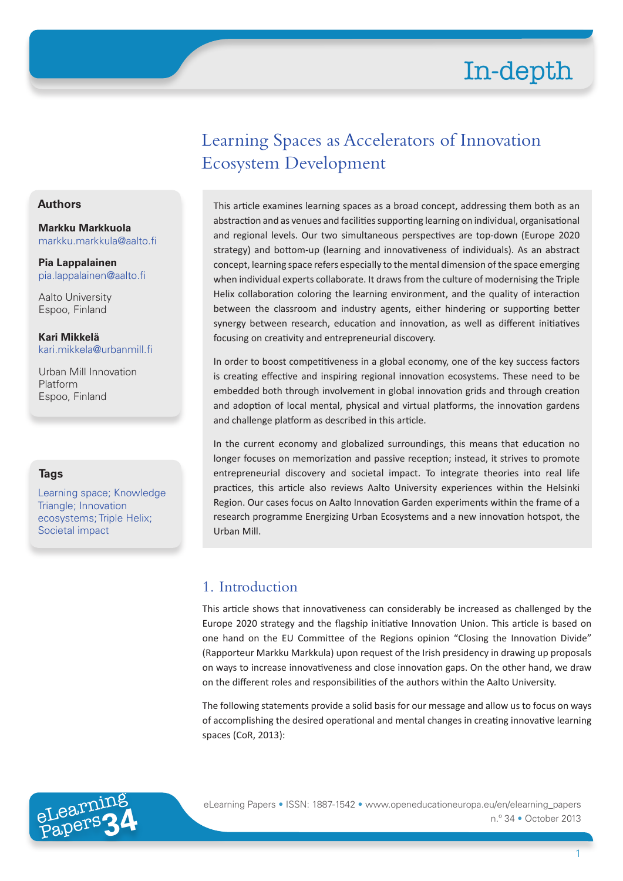## Learning Spaces as Accelerators of Innovation Ecosystem Development

#### This article examines learning spaces as a broad concept, addressing them both as an abstraction and as venues and facilities supporting learning on individual, organisational and regional levels. Our two simultaneous perspectives are top-down (Europe 2020 strategy) and bottom-up (learning and innovativeness of individuals). As an abstract concept, learning space refers especially to the mental dimension of the space emerging when individual experts collaborate. It draws from the culture of modernising the Triple Helix collaboration coloring the learning environment, and the quality of interaction between the classroom and industry agents, either hindering or supporting better synergy between research, education and innovation, as well as different initiatives focusing on creativity and entrepreneurial discovery.

In order to boost competitiveness in a global economy, one of the key success factors is creating effective and inspiring regional innovation ecosystems. These need to be embedded both through involvement in global innovation grids and through creation and adoption of local mental, physical and virtual platforms, the innovation gardens and challenge platform as described in this article.

In the current economy and globalized surroundings, this means that education no longer focuses on memorization and passive reception; instead, it strives to promote entrepreneurial discovery and societal impact. To integrate theories into real life practices, this article also reviews Aalto University experiences within the Helsinki Region. Our cases focus on Aalto Innovation Garden experiments within the frame of a research programme Energizing Urban Ecosystems and a new innovation hotspot, the Urban Mill.

## 1. Introduction

This article shows that innovativeness can considerably be increased as challenged by the Europe 2020 strategy and the flagship initiative Innovation Union. This article is based on one hand on the EU Committee of the Regions opinion "Closing the Innovation Divide" (Rapporteur Markku Markkula) upon request of the Irish presidency in drawing up proposals on ways to increase innovativeness and close innovation gaps. On the other hand, we draw on the different roles and responsibilities of the authors within the Aalto University.

The following statements provide a solid basis for our message and allow us to focus on ways of accomplishing the desired operational and mental changes in creating innovative learning spaces (CoR, 2013):



eLearning Papers • ISSN: 1887-1542 • www.openeducationeuropa.eu/en/elearning\_papers n.º 34 • October 2013

#### **Authors**

**Markku Markkuola** markku.markkula@aalto.fi

**Pia Lappalainen** pia.lappalainen@aalto.fi

Aalto University Espoo, Finland

**Kari Mikkelä** kari.mikkela@urbanmill.fi

Urban Mill Innovation Platform Espoo, Finland

#### **Tags**

Learning space; Knowledge Triangle; Innovation ecosystems; Triple Helix; Societal impact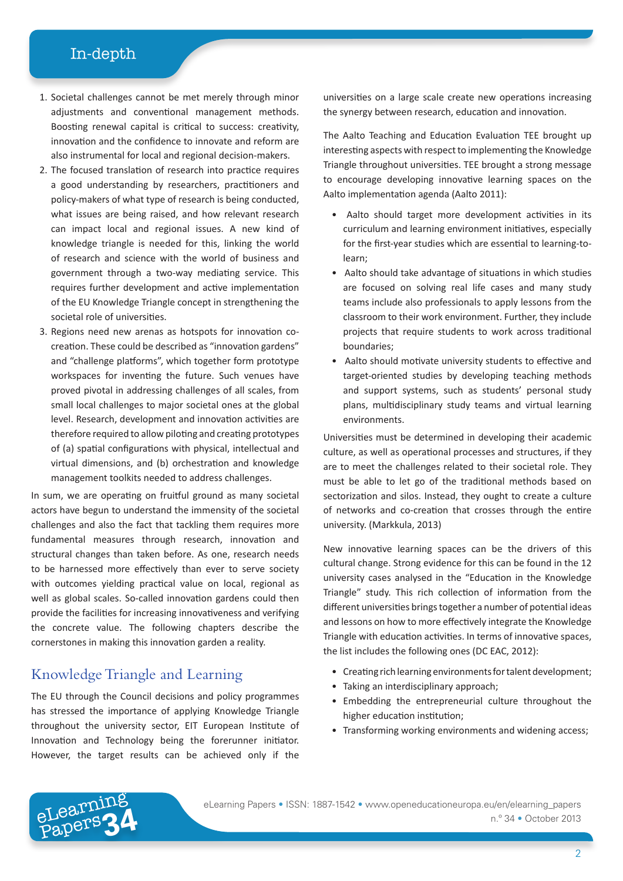- 1. Societal challenges cannot be met merely through minor adjustments and conventional management methods. Boosting renewal capital is critical to success: creativity, innovation and the confidence to innovate and reform are also instrumental for local and regional decision-makers.
- 2. The focused translation of research into practice requires a good understanding by researchers, practitioners and policy-makers of what type of research is being conducted, what issues are being raised, and how relevant research can impact local and regional issues. A new kind of knowledge triangle is needed for this, linking the world of research and science with the world of business and government through a two-way mediating service. This requires further development and active implementation of the EU Knowledge Triangle concept in strengthening the societal role of universities.
- 3. Regions need new arenas as hotspots for innovation cocreation. These could be described as "innovation gardens" and "challenge platforms", which together form prototype workspaces for inventing the future. Such venues have proved pivotal in addressing challenges of all scales, from small local challenges to major societal ones at the global level. Research, development and innovation activities are therefore required to allow piloting and creating prototypes of (a) spatial configurations with physical, intellectual and virtual dimensions, and (b) orchestration and knowledge management toolkits needed to address challenges.

In sum, we are operating on fruitful ground as many societal actors have begun to understand the immensity of the societal challenges and also the fact that tackling them requires more fundamental measures through research, innovation and structural changes than taken before. As one, research needs to be harnessed more effectively than ever to serve society with outcomes yielding practical value on local, regional as well as global scales. So-called innovation gardens could then provide the facilities for increasing innovativeness and verifying the concrete value. The following chapters describe the cornerstones in making this innovation garden a reality.

#### Knowledge Triangle and Learning

eLearning

The EU through the Council decisions and policy programmes has stressed the importance of applying Knowledge Triangle throughout the university sector, EIT European Institute of Innovation and Technology being the forerunner initiator. However, the target results can be achieved only if the

universities on a large scale create new operations increasing the synergy between research, education and innovation.

The Aalto Teaching and Education Evaluation TEE brought up interesting aspects with respect to implementing the Knowledge Triangle throughout universities. TEE brought a strong message to encourage developing innovative learning spaces on the Aalto implementation agenda (Aalto 2011):

- Aalto should target more development activities in its curriculum and learning environment initiatives, especially for the first-year studies which are essential to learning-tolearn;
- Aalto should take advantage of situations in which studies are focused on solving real life cases and many study teams include also professionals to apply lessons from the classroom to their work environment. Further, they include projects that require students to work across traditional boundaries;
- Aalto should motivate university students to effective and target-oriented studies by developing teaching methods and support systems, such as students' personal study plans, multidisciplinary study teams and virtual learning environments.

Universities must be determined in developing their academic culture, as well as operational processes and structures, if they are to meet the challenges related to their societal role. They must be able to let go of the traditional methods based on sectorization and silos. Instead, they ought to create a culture of networks and co-creation that crosses through the entire university. (Markkula, 2013)

New innovative learning spaces can be the drivers of this cultural change. Strong evidence for this can be found in the 12 university cases analysed in the "Education in the Knowledge Triangle" study. This rich collection of information from the different universities brings together a number of potential ideas and lessons on how to more effectively integrate the Knowledge Triangle with education activities. In terms of innovative spaces, the list includes the following ones (DC EAC, 2012):

- Creating rich learning environments for talent development;
- Taking an interdisciplinary approach;
- Embedding the entrepreneurial culture throughout the higher education institution;
- Transforming working environments and widening access;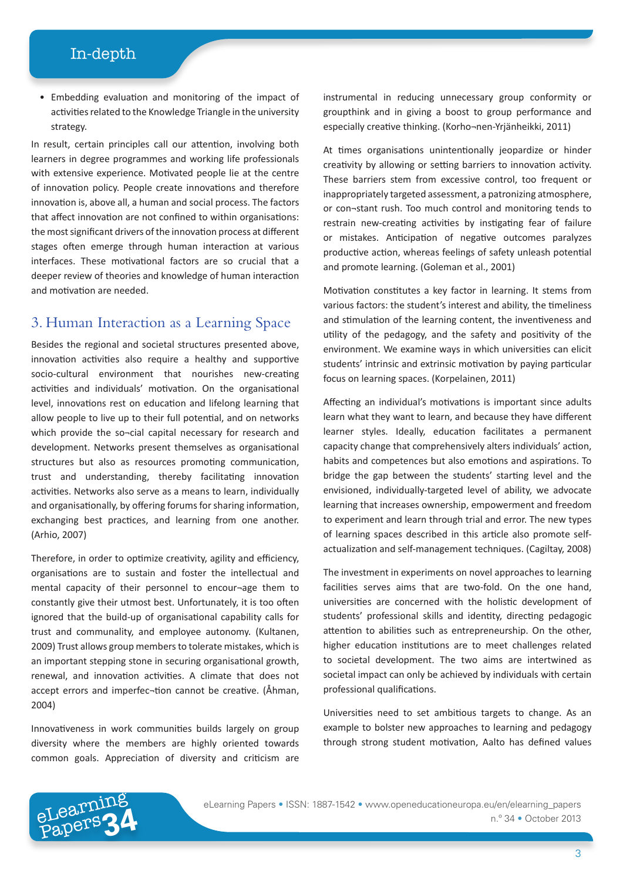• Embedding evaluation and monitoring of the impact of activities related to the Knowledge Triangle in the university strategy.

In result, certain principles call our attention, involving both learners in degree programmes and working life professionals with extensive experience. Motivated people lie at the centre of innovation policy. People create innovations and therefore innovation is, above all, a human and social process. The factors that affect innovation are not confined to within organisations: the most significant drivers of the innovation process at different stages often emerge through human interaction at various interfaces. These motivational factors are so crucial that a deeper review of theories and knowledge of human interaction and motivation are needed.

#### 3. Human Interaction as a Learning Space

Besides the regional and societal structures presented above, innovation activities also require a healthy and supportive socio-cultural environment that nourishes new-creating activities and individuals' motivation. On the organisational level, innovations rest on education and lifelong learning that allow people to live up to their full potential, and on networks which provide the so¬cial capital necessary for research and development. Networks present themselves as organisational structures but also as resources promoting communication, trust and understanding, thereby facilitating innovation activities. Networks also serve as a means to learn, individually and organisationally, by offering forums for sharing information, exchanging best practices, and learning from one another. (Arhio, 2007)

Therefore, in order to optimize creativity, agility and efficiency, organisations are to sustain and foster the intellectual and mental capacity of their personnel to encour¬age them to constantly give their utmost best. Unfortunately, it is too often ignored that the build-up of organisational capability calls for trust and communality, and employee autonomy. (Kultanen, 2009) Trust allows group members to tolerate mistakes, which is an important stepping stone in securing organisational growth, renewal, and innovation activities. A climate that does not accept errors and imperfec¬tion cannot be creative. (Åhman, 2004)

Innovativeness in work communities builds largely on group diversity where the members are highly oriented towards common goals. Appreciation of diversity and criticism are

instrumental in reducing unnecessary group conformity or groupthink and in giving a boost to group performance and especially creative thinking. (Korho¬nen-Yrjänheikki, 2011)

At times organisations unintentionally jeopardize or hinder creativity by allowing or setting barriers to innovation activity. These barriers stem from excessive control, too frequent or inappropriately targeted assessment, a patronizing atmosphere, or con¬stant rush. Too much control and monitoring tends to restrain new-creating activities by instigating fear of failure or mistakes. Anticipation of negative outcomes paralyzes productive action, whereas feelings of safety unleash potential and promote learning. (Goleman et al., 2001)

Motivation constitutes a key factor in learning. It stems from various factors: the student's interest and ability, the timeliness and stimulation of the learning content, the inventiveness and utility of the pedagogy, and the safety and positivity of the environment. We examine ways in which universities can elicit students' intrinsic and extrinsic motivation by paying particular focus on learning spaces. (Korpelainen, 2011)

Affecting an individual's motivations is important since adults learn what they want to learn, and because they have different learner styles. Ideally, education facilitates a permanent capacity change that comprehensively alters individuals' action, habits and competences but also emotions and aspirations. To bridge the gap between the students' starting level and the envisioned, individually-targeted level of ability, we advocate learning that increases ownership, empowerment and freedom to experiment and learn through trial and error. The new types of learning spaces described in this article also promote selfactualization and self-management techniques. (Cagiltay, 2008)

The investment in experiments on novel approaches to learning facilities serves aims that are two-fold. On the one hand, universities are concerned with the holistic development of students' professional skills and identity, directing pedagogic attention to abilities such as entrepreneurship. On the other, higher education institutions are to meet challenges related to societal development. The two aims are intertwined as societal impact can only be achieved by individuals with certain professional qualifications.

Universities need to set ambitious targets to change. As an example to bolster new approaches to learning and pedagogy through strong student motivation, Aalto has defined values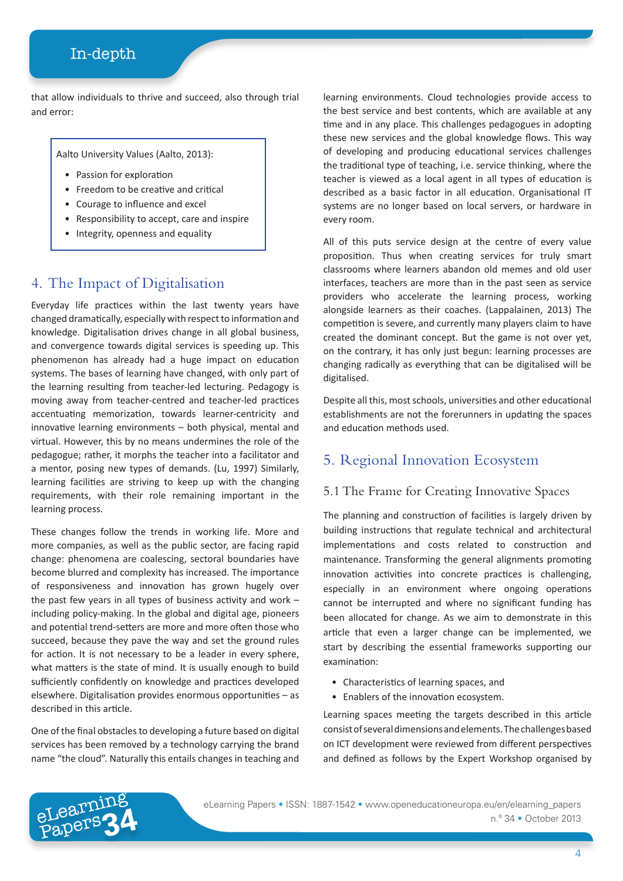that allow individuals to thrive and succeed, also through trial and error:

Aalto University Values (Aalto, 2013):

- Passion for exploration
- Freedom to be creative and critical
- Courage to influence and excel
- Responsibility to accept, care and inspire
- Integrity, openness and equality

#### 4. The Impact of Digitalisation

Everyday life practices within the last twenty years have changed dramatically, especially with respect to information and knowledge. Digitalisation drives change in all global business, and convergence towards digital services is speeding up. This phenomenon has already had a huge impact on education systems. The bases of learning have changed, with only part of the learning resulting from teacher-led lecturing. Pedagogy is moving away from teacher-centred and teacher-led practices accentuating memorization, towards learner-centricity and innovative learning environments – both physical, mental and virtual. However, this by no means undermines the role of the pedagogue; rather, it morphs the teacher into a facilitator and a mentor, posing new types of demands. (Lu, 1997) Similarly, learning facilities are striving to keep up with the changing requirements, with their role remaining important in the learning process.

These changes follow the trends in working life. More and more companies, as well as the public sector, are facing rapid change: phenomena are coalescing, sectoral boundaries have become blurred and complexity has increased. The importance of responsiveness and innovation has grown hugely over the past few years in all types of business activity and work – including policy-making. In the global and digital age, pioneers and potential trend-setters are more and more often those who succeed, because they pave the way and set the ground rules for action. It is not necessary to be a leader in every sphere, what matters is the state of mind. It is usually enough to build sufficiently confidently on knowledge and practices developed elsewhere. Digitalisation provides enormous opportunities – as described in this article.

One of the final obstacles to developing a future based on digital services has been removed by a technology carrying the brand name "the cloud". Naturally this entails changes in teaching and

eLearning

learning environments. Cloud technologies provide access to the best service and best contents, which are available at any time and in any place. This challenges pedagogues in adopting these new services and the global knowledge flows. This way of developing and producing educational services challenges the traditional type of teaching, i.e. service thinking, where the teacher is viewed as a local agent in all types of education is described as a basic factor in all education. Organisational IT systems are no longer based on local servers, or hardware in every room.

All of this puts service design at the centre of every value proposition. Thus when creating services for truly smart classrooms where learners abandon old memes and old user interfaces, teachers are more than in the past seen as service providers who accelerate the learning process, working alongside learners as their coaches. (Lappalainen, 2013) The competition is severe, and currently many players claim to have created the dominant concept. But the game is not over yet, on the contrary, it has only just begun: learning processes are changing radically as everything that can be digitalised will be digitalised.

Despite all this, most schools, universities and other educational establishments are not the forerunners in updating the spaces and education methods used.

#### 5. Regional Innovation Ecosystem

#### 5.1 The Frame for Creating Innovative Spaces

The planning and construction of facilities is largely driven by building instructions that regulate technical and architectural implementations and costs related to construction and maintenance. Transforming the general alignments promoting innovation activities into concrete practices is challenging, especially in an environment where ongoing operations cannot be interrupted and where no significant funding has been allocated for change. As we aim to demonstrate in this article that even a larger change can be implemented, we start by describing the essential frameworks supporting our examination:

- Characteristics of learning spaces, and
- Enablers of the innovation ecosystem.

Learning spaces meeting the targets described in this article consist of several dimensions and elements. The challenges based on ICT development were reviewed from different perspectives and defined as follows by the Expert Workshop organised by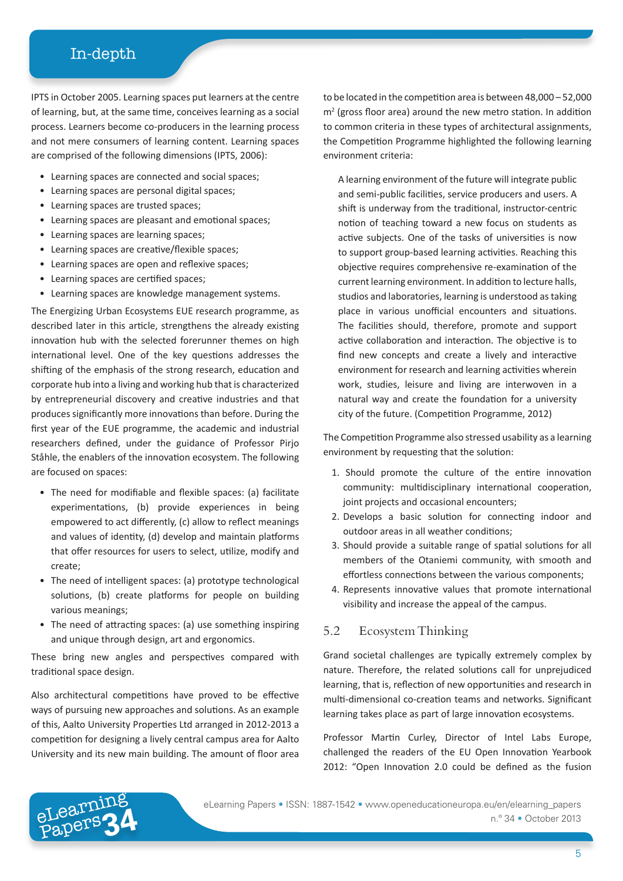IPTS in October 2005. Learning spaces put learners at the centre of learning, but, at the same time, conceives learning as a social process. Learners become co-producers in the learning process and not mere consumers of learning content. Learning spaces are comprised of the following dimensions (IPTS, 2006):

- Learning spaces are connected and social spaces;
- Learning spaces are personal digital spaces;
- Learning spaces are trusted spaces;
- Learning spaces are pleasant and emotional spaces;
- Learning spaces are learning spaces;
- Learning spaces are creative/flexible spaces;
- Learning spaces are open and reflexive spaces;
- Learning spaces are certified spaces;
- Learning spaces are knowledge management systems.

The Energizing Urban Ecosystems EUE research programme, as described later in this article, strengthens the already existing innovation hub with the selected forerunner themes on high international level. One of the key questions addresses the shifting of the emphasis of the strong research, education and corporate hub into a living and working hub that is characterized by entrepreneurial discovery and creative industries and that produces significantly more innovations than before. During the first year of the EUE programme, the academic and industrial researchers defined, under the guidance of Professor Pirjo Ståhle, the enablers of the innovation ecosystem. The following are focused on spaces:

- The need for modifiable and flexible spaces: (a) facilitate experimentations, (b) provide experiences in being empowered to act differently, (c) allow to reflect meanings and values of identity, (d) develop and maintain platforms that offer resources for users to select, utilize, modify and create;
- The need of intelligent spaces: (a) prototype technological solutions, (b) create platforms for people on building various meanings;
- The need of attracting spaces: (a) use something inspiring and unique through design, art and ergonomics.

These bring new angles and perspectives compared with traditional space design.

Also architectural competitions have proved to be effective ways of pursuing new approaches and solutions. As an example of this, Aalto University Properties Ltd arranged in 2012-2013 a competition for designing a lively central campus area for Aalto University and its new main building. The amount of floor area

eLearning

to be located in the competition area is between 48,000 – 52,000 m2 (gross floor area) around the new metro station. In addition to common criteria in these types of architectural assignments, the Competition Programme highlighted the following learning environment criteria:

A learning environment of the future will integrate public and semi-public facilities, service producers and users. A shift is underway from the traditional, instructor-centric notion of teaching toward a new focus on students as active subjects. One of the tasks of universities is now to support group-based learning activities. Reaching this objective requires comprehensive re-examination of the current learning environment. In addition to lecture halls, studios and laboratories, learning is understood as taking place in various unofficial encounters and situations. The facilities should, therefore, promote and support active collaboration and interaction. The objective is to find new concepts and create a lively and interactive environment for research and learning activities wherein work, studies, leisure and living are interwoven in a natural way and create the foundation for a university city of the future. (Competition Programme, 2012)

The Competition Programme also stressed usability as a learning environment by requesting that the solution:

- 1. Should promote the culture of the entire innovation community: multidisciplinary international cooperation, joint projects and occasional encounters;
- 2. Develops a basic solution for connecting indoor and outdoor areas in all weather conditions;
- 3. Should provide a suitable range of spatial solutions for all members of the Otaniemi community, with smooth and effortless connections between the various components;
- 4. Represents innovative values that promote international visibility and increase the appeal of the campus.

#### 5.2 Ecosystem Thinking

Grand societal challenges are typically extremely complex by nature. Therefore, the related solutions call for unprejudiced learning, that is, reflection of new opportunities and research in multi-dimensional co-creation teams and networks. Significant learning takes place as part of large innovation ecosystems.

Professor Martin Curley, Director of Intel Labs Europe, challenged the readers of the EU Open Innovation Yearbook 2012: "Open Innovation 2.0 could be defined as the fusion

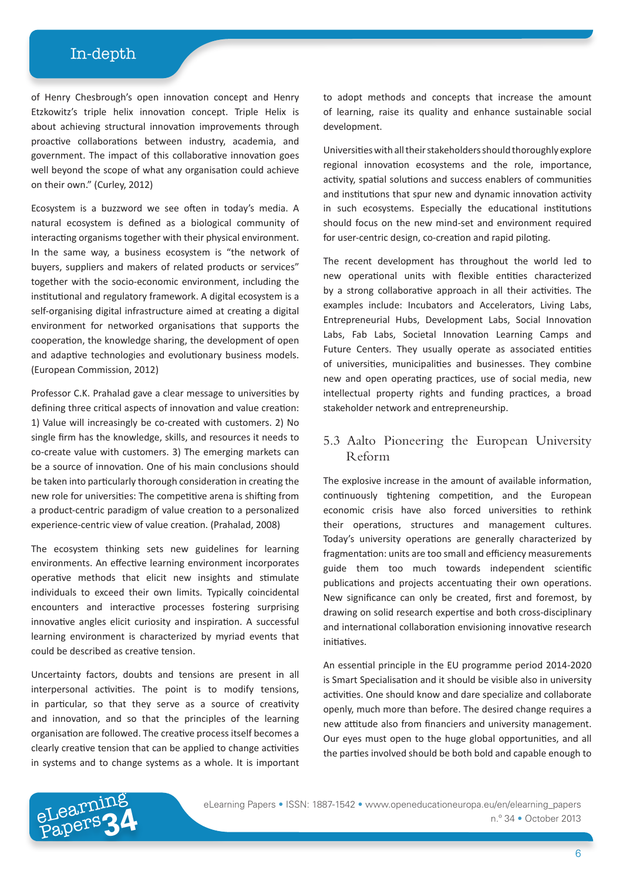of Henry Chesbrough's open innovation concept and Henry Etzkowitz's triple helix innovation concept. Triple Helix is about achieving structural innovation improvements through proactive collaborations between industry, academia, and government. The impact of this collaborative innovation goes well beyond the scope of what any organisation could achieve on their own." (Curley, 2012)

Ecosystem is a buzzword we see often in today's media. A natural ecosystem is defined as a biological community of interacting organisms together with their physical environment. In the same way, a business ecosystem is "the network of buyers, suppliers and makers of related products or services" together with the socio-economic environment, including the institutional and regulatory framework. A digital ecosystem is a self-organising digital infrastructure aimed at creating a digital environment for networked organisations that supports the cooperation, the knowledge sharing, the development of open and adaptive technologies and evolutionary business models. (European Commission, 2012)

Professor C.K. Prahalad gave a clear message to universities by defining three critical aspects of innovation and value creation: 1) Value will increasingly be co-created with customers. 2) No single firm has the knowledge, skills, and resources it needs to co-create value with customers. 3) The emerging markets can be a source of innovation. One of his main conclusions should be taken into particularly thorough consideration in creating the new role for universities: The competitive arena is shifting from a product-centric paradigm of value creation to a personalized experience-centric view of value creation. (Prahalad, 2008)

The ecosystem thinking sets new guidelines for learning environments. An effective learning environment incorporates operative methods that elicit new insights and stimulate individuals to exceed their own limits. Typically coincidental encounters and interactive processes fostering surprising innovative angles elicit curiosity and inspiration. A successful learning environment is characterized by myriad events that could be described as creative tension.

Uncertainty factors, doubts and tensions are present in all interpersonal activities. The point is to modify tensions, in particular, so that they serve as a source of creativity and innovation, and so that the principles of the learning organisation are followed. The creative process itself becomes a clearly creative tension that can be applied to change activities in systems and to change systems as a whole. It is important

to adopt methods and concepts that increase the amount of learning, raise its quality and enhance sustainable social development.

Universities with all their stakeholders should thoroughly explore regional innovation ecosystems and the role, importance, activity, spatial solutions and success enablers of communities and institutions that spur new and dynamic innovation activity in such ecosystems. Especially the educational institutions should focus on the new mind-set and environment required for user-centric design, co-creation and rapid piloting.

The recent development has throughout the world led to new operational units with flexible entities characterized by a strong collaborative approach in all their activities. The examples include: Incubators and Accelerators, Living Labs, Entrepreneurial Hubs, Development Labs, Social Innovation Labs, Fab Labs, Societal Innovation Learning Camps and Future Centers. They usually operate as associated entities of universities, municipalities and businesses. They combine new and open operating practices, use of social media, new intellectual property rights and funding practices, a broad stakeholder network and entrepreneurship.

#### 5.3 Aalto Pioneering the European University Reform

The explosive increase in the amount of available information, continuously tightening competition, and the European economic crisis have also forced universities to rethink their operations, structures and management cultures. Today's university operations are generally characterized by fragmentation: units are too small and efficiency measurements guide them too much towards independent scientific publications and projects accentuating their own operations. New significance can only be created, first and foremost, by drawing on solid research expertise and both cross-disciplinary and international collaboration envisioning innovative research initiatives.

An essential principle in the EU programme period 2014-2020 is Smart Specialisation and it should be visible also in university activities. One should know and dare specialize and collaborate openly, much more than before. The desired change requires a new attitude also from financiers and university management. Our eyes must open to the huge global opportunities, and all the parties involved should be both bold and capable enough to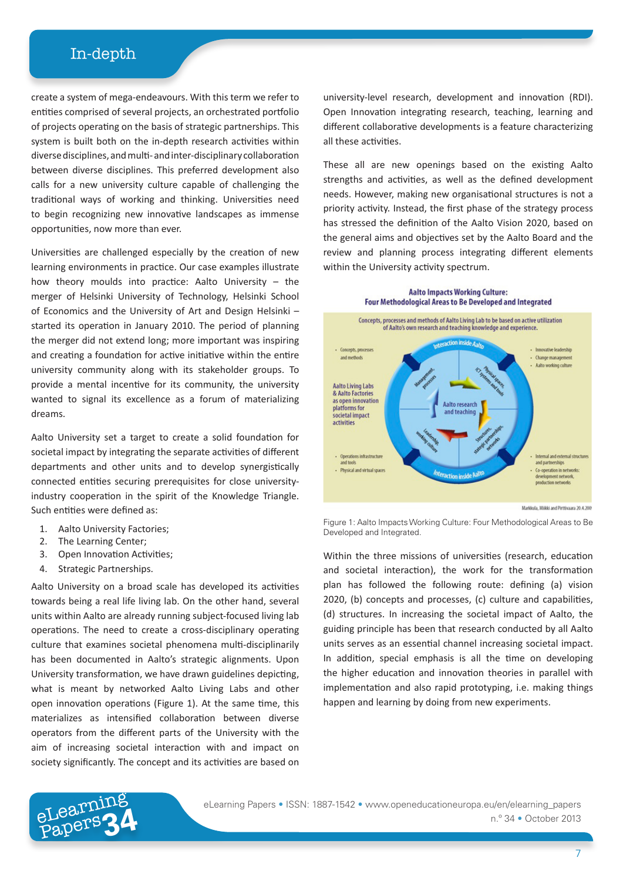create a system of mega-endeavours. With this term we refer to entities comprised of several projects, an orchestrated portfolio of projects operating on the basis of strategic partnerships. This system is built both on the in-depth research activities within diverse disciplines, and multi- and inter-disciplinary collaboration between diverse disciplines. This preferred development also calls for a new university culture capable of challenging the traditional ways of working and thinking. Universities need to begin recognizing new innovative landscapes as immense opportunities, now more than ever.

Universities are challenged especially by the creation of new learning environments in practice. Our case examples illustrate how theory moulds into practice: Aalto University – the merger of Helsinki University of Technology, Helsinki School of Economics and the University of Art and Design Helsinki – started its operation in January 2010. The period of planning the merger did not extend long; more important was inspiring and creating a foundation for active initiative within the entire university community along with its stakeholder groups. To provide a mental incentive for its community, the university wanted to signal its excellence as a forum of materializing dreams.

Aalto University set a target to create a solid foundation for societal impact by integrating the separate activities of different departments and other units and to develop synergistically connected entities securing prerequisites for close universityindustry cooperation in the spirit of the Knowledge Triangle. Such entities were defined as:

- 1. Aalto University Factories;
- 2. The Learning Center;
- 3. Open Innovation Activities;
- 4. Strategic Partnerships.

Aalto University on a broad scale has developed its activities towards being a real life living lab. On the other hand, several units within Aalto are already running subject-focused living lab operations. The need to create a cross-disciplinary operating culture that examines societal phenomena multi-disciplinarily has been documented in Aalto's strategic alignments. Upon University transformation, we have drawn guidelines depicting, what is meant by networked Aalto Living Labs and other open innovation operations (Figure 1). At the same time, this materializes as intensified collaboration between diverse operators from the different parts of the University with the aim of increasing societal interaction with and impact on society significantly. The concept and its activities are based on

university-level research, development and innovation (RDI). Open Innovation integrating research, teaching, learning and different collaborative developments is a feature characterizing all these activities.

These all are new openings based on the existing Aalto strengths and activities, as well as the defined development needs. However, making new organisational structures is not a priority activity. Instead, the first phase of the strategy process has stressed the definition of the Aalto Vision 2020, based on the general aims and objectives set by the Aalto Board and the review and planning process integrating different elements within the University activity spectrum.



Figure 1: Aalto Impacts Working Culture: Four Methodological Areas to Be Developed and Integrated.

Within the three missions of universities (research, education and societal interaction), the work for the transformation plan has followed the following route: defining (a) vision 2020, (b) concepts and processes, (c) culture and capabilities, (d) structures. In increasing the societal impact of Aalto, the guiding principle has been that research conducted by all Aalto units serves as an essential channel increasing societal impact. In addition, special emphasis is all the time on developing the higher education and innovation theories in parallel with implementation and also rapid prototyping, i.e. making things happen and learning by doing from new experiments.

n.º 34 • October 2013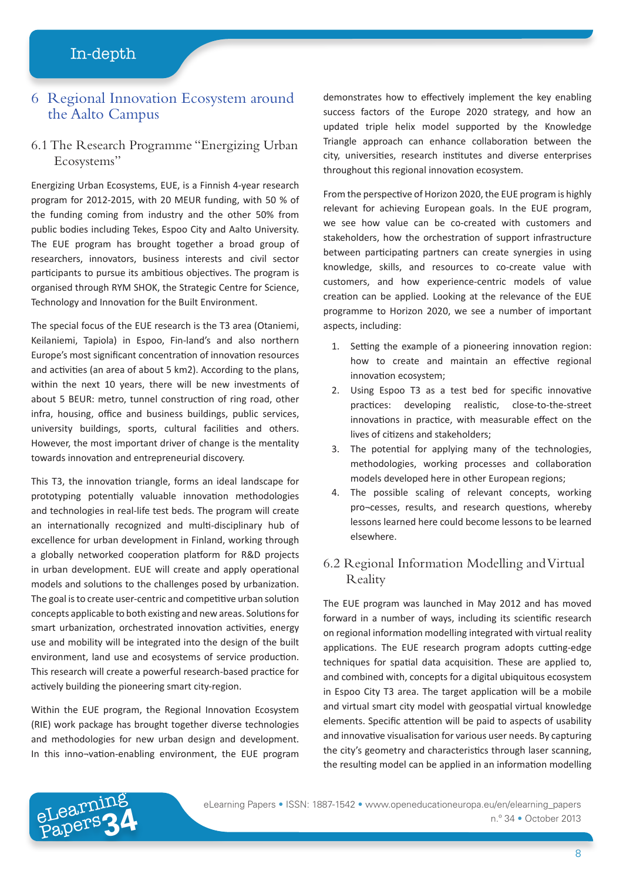#### 6 Regional Innovation Ecosystem around the Aalto Campus

#### 6.1 The Research Programme "Energizing Urban Ecosystems"

Energizing Urban Ecosystems, EUE, is a Finnish 4-year research program for 2012-2015, with 20 MEUR funding, with 50 % of the funding coming from industry and the other 50% from public bodies including Tekes, Espoo City and Aalto University. The EUE program has brought together a broad group of researchers, innovators, business interests and civil sector participants to pursue its ambitious objectives. The program is organised through RYM SHOK, the Strategic Centre for Science, Technology and Innovation for the Built Environment.

The special focus of the EUE research is the T3 area (Otaniemi, Keilaniemi, Tapiola) in Espoo, Fin-land's and also northern Europe's most significant concentration of innovation resources and activities (an area of about 5 km2). According to the plans, within the next 10 years, there will be new investments of about 5 BEUR: metro, tunnel construction of ring road, other infra, housing, office and business buildings, public services, university buildings, sports, cultural facilities and others. However, the most important driver of change is the mentality towards innovation and entrepreneurial discovery.

This T3, the innovation triangle, forms an ideal landscape for prototyping potentially valuable innovation methodologies and technologies in real-life test beds. The program will create an internationally recognized and multi-disciplinary hub of excellence for urban development in Finland, working through a globally networked cooperation platform for R&D projects in urban development. EUE will create and apply operational models and solutions to the challenges posed by urbanization. The goal is to create user-centric and competitive urban solution concepts applicable to both existing and new areas. Solutions for smart urbanization, orchestrated innovation activities, energy use and mobility will be integrated into the design of the built environment, land use and ecosystems of service production. This research will create a powerful research-based practice for actively building the pioneering smart city-region.

Within the EUE program, the Regional Innovation Ecosystem (RIE) work package has brought together diverse technologies and methodologies for new urban design and development. In this inno¬vation-enabling environment, the EUE program

eLearning

demonstrates how to effectively implement the key enabling success factors of the Europe 2020 strategy, and how an updated triple helix model supported by the Knowledge Triangle approach can enhance collaboration between the city, universities, research institutes and diverse enterprises throughout this regional innovation ecosystem.

From the perspective of Horizon 2020, the EUE program is highly relevant for achieving European goals. In the EUE program, we see how value can be co-created with customers and stakeholders, how the orchestration of support infrastructure between participating partners can create synergies in using knowledge, skills, and resources to co-create value with customers, and how experience-centric models of value creation can be applied. Looking at the relevance of the EUE programme to Horizon 2020, we see a number of important aspects, including:

- 1. Setting the example of a pioneering innovation region: how to create and maintain an effective regional innovation ecosystem;
- 2. Using Espoo T3 as a test bed for specific innovative practices: developing realistic, close-to-the-street innovations in practice, with measurable effect on the lives of citizens and stakeholders;
- 3. The potential for applying many of the technologies, methodologies, working processes and collaboration models developed here in other European regions;
- 4. The possible scaling of relevant concepts, working pro¬cesses, results, and research questions, whereby lessons learned here could become lessons to be learned elsewhere.

#### 6.2 Regional Information Modelling and Virtual Reality

The EUE program was launched in May 2012 and has moved forward in a number of ways, including its scientific research on regional information modelling integrated with virtual reality applications. The EUE research program adopts cutting-edge techniques for spatial data acquisition. These are applied to, and combined with, concepts for a digital ubiquitous ecosystem in Espoo City T3 area. The target application will be a mobile and virtual smart city model with geospatial virtual knowledge elements. Specific attention will be paid to aspects of usability and innovative visualisation for various user needs. By capturing the city's geometry and characteristics through laser scanning, the resulting model can be applied in an information modelling

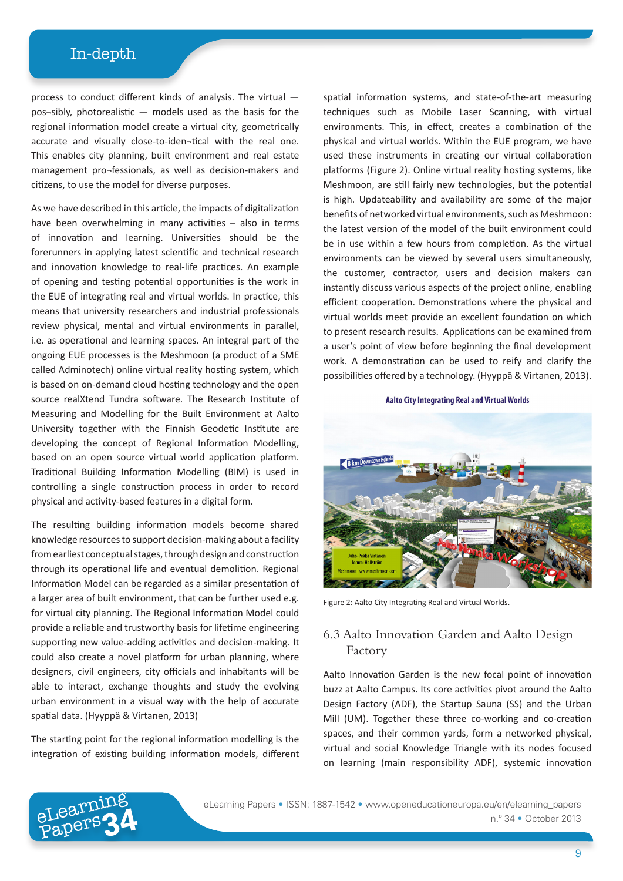process to conduct different kinds of analysis. The virtual pos¬sibly, photorealistic — models used as the basis for the regional information model create a virtual city, geometrically accurate and visually close-to-iden¬tical with the real one. This enables city planning, built environment and real estate management pro¬fessionals, as well as decision-makers and citizens, to use the model for diverse purposes.

As we have described in this article, the impacts of digitalization have been overwhelming in many activities – also in terms of innovation and learning. Universities should be the forerunners in applying latest scientific and technical research and innovation knowledge to real-life practices. An example of opening and testing potential opportunities is the work in the EUE of integrating real and virtual worlds. In practice, this means that university researchers and industrial professionals review physical, mental and virtual environments in parallel, i.e. as operational and learning spaces. An integral part of the ongoing EUE processes is the Meshmoon (a product of a SME called Adminotech) online virtual reality hosting system, which is based on on-demand cloud hosting technology and the open source realXtend Tundra software. The Research Institute of Measuring and Modelling for the Built Environment at Aalto University together with the Finnish Geodetic Institute are developing the concept of Regional Information Modelling, based on an open source virtual world application platform. Traditional Building Information Modelling (BIM) is used in controlling a single construction process in order to record physical and activity-based features in a digital form.

The resulting building information models become shared knowledge resources to support decision-making about a facility from earliest conceptual stages, through design and construction through its operational life and eventual demolition. Regional Information Model can be regarded as a similar presentation of a larger area of built environment, that can be further used e.g. for virtual city planning. The Regional Information Model could provide a reliable and trustworthy basis for lifetime engineering supporting new value-adding activities and decision-making. It could also create a novel platform for urban planning, where designers, civil engineers, city officials and inhabitants will be able to interact, exchange thoughts and study the evolving urban environment in a visual way with the help of accurate spatial data. (Hyyppä & Virtanen, 2013)

The starting point for the regional information modelling is the integration of existing building information models, different

eLearnin<br>Papers

spatial information systems, and state-of-the-art measuring techniques such as Mobile Laser Scanning, with virtual environments. This, in effect, creates a combination of the physical and virtual worlds. Within the EUE program, we have used these instruments in creating our virtual collaboration platforms (Figure 2). Online virtual reality hosting systems, like Meshmoon, are still fairly new technologies, but the potential is high. Updateability and availability are some of the major benefits of networked virtual environments, such as Meshmoon: the latest version of the model of the built environment could be in use within a few hours from completion. As the virtual environments can be viewed by several users simultaneously, the customer, contractor, users and decision makers can instantly discuss various aspects of the project online, enabling efficient cooperation. Demonstrations where the physical and virtual worlds meet provide an excellent foundation on which to present research results. Applications can be examined from a user's point of view before beginning the final development work. A demonstration can be used to reify and clarify the possibilities offered by a technology. (Hyyppä & Virtanen, 2013).

Aalto City Integrating Real and Virtual Worlds



Figure 2: Aalto City Integrating Real and Virtual Worlds.

#### 6.3 Aalto Innovation Garden and Aalto Design Factory

Aalto Innovation Garden is the new focal point of innovation buzz at Aalto Campus. Its core activities pivot around the Aalto Design Factory (ADF), the Startup Sauna (SS) and the Urban Mill (UM). Together these three co-working and co-creation spaces, and their common yards, form a networked physical, virtual and social Knowledge Triangle with its nodes focused on learning (main responsibility ADF), systemic innovation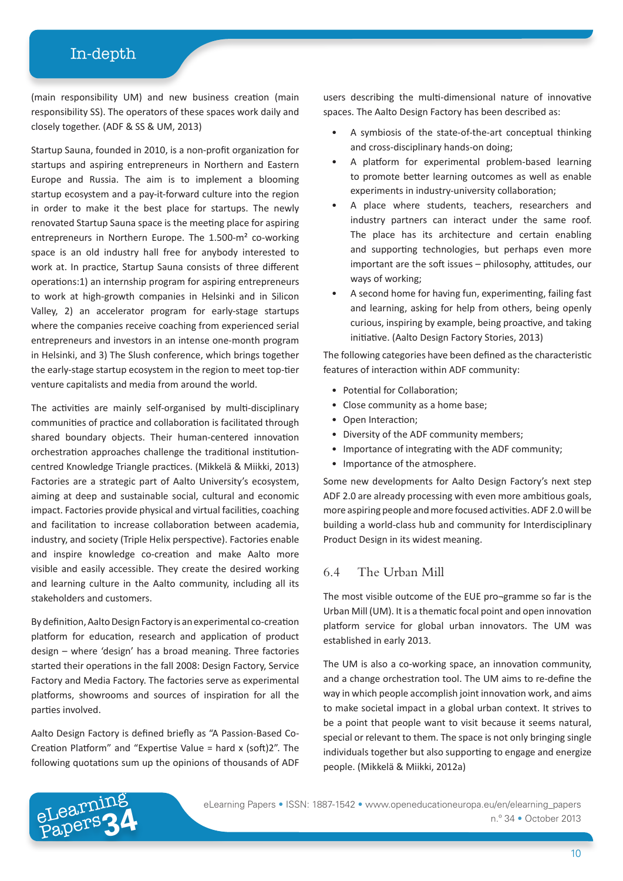(main responsibility UM) and new business creation (main responsibility SS). The operators of these spaces work daily and closely together. (ADF & SS & UM, 2013)

Startup Sauna, founded in 2010, is a non-profit organization for startups and aspiring entrepreneurs in Northern and Eastern Europe and Russia. The aim is to implement a blooming startup ecosystem and a pay-it-forward culture into the region in order to make it the best place for startups. The newly renovated Startup Sauna space is the meeting place for aspiring entrepreneurs in Northern Europe. The 1.500-m² co-working space is an old industry hall free for anybody interested to work at. In practice, Startup Sauna consists of three different operations:1) an internship program for aspiring entrepreneurs to work at high-growth companies in Helsinki and in Silicon Valley, 2) an accelerator program for early-stage startups where the companies receive coaching from experienced serial entrepreneurs and investors in an intense one-month program in Helsinki, and 3) The Slush conference, which brings together the early-stage startup ecosystem in the region to meet top-tier venture capitalists and media from around the world.

The activities are mainly self-organised by multi-disciplinary communities of practice and collaboration is facilitated through shared boundary objects. Their human-centered innovation orchestration approaches challenge the traditional institutioncentred Knowledge Triangle practices. (Mikkelä & Miikki, 2013) Factories are a strategic part of Aalto University's ecosystem, aiming at deep and sustainable social, cultural and economic impact. Factories provide physical and virtual facilities, coaching and facilitation to increase collaboration between academia, industry, and society (Triple Helix perspective). Factories enable and inspire knowledge co-creation and make Aalto more visible and easily accessible. They create the desired working and learning culture in the Aalto community, including all its stakeholders and customers.

By definition, Aalto Design Factory is an experimental co-creation platform for education, research and application of product design – where 'design' has a broad meaning. Three factories started their operations in the fall 2008: Design Factory, Service Factory and Media Factory. The factories serve as experimental platforms, showrooms and sources of inspiration for all the parties involved.

Aalto Design Factory is defined briefly as "A Passion-Based Co-Creation Platform" and "Expertise Value = hard x (soft)2". The following quotations sum up the opinions of thousands of ADF

users describing the multi-dimensional nature of innovative spaces. The Aalto Design Factory has been described as:

- A symbiosis of the state-of-the-art conceptual thinking and cross-disciplinary hands-on doing;
- A platform for experimental problem-based learning to promote better learning outcomes as well as enable experiments in industry-university collaboration;
- A place where students, teachers, researchers and industry partners can interact under the same roof. The place has its architecture and certain enabling and supporting technologies, but perhaps even more important are the soft issues – philosophy, attitudes, our ways of working;
- A second home for having fun, experimenting, failing fast and learning, asking for help from others, being openly curious, inspiring by example, being proactive, and taking initiative. (Aalto Design Factory Stories, 2013)

The following categories have been defined as the characteristic features of interaction within ADF community:

- Potential for Collaboration;
- Close community as a home base;
- Open Interaction;
- Diversity of the ADF community members;
- Importance of integrating with the ADF community;
- Importance of the atmosphere.

Some new developments for Aalto Design Factory's next step ADF 2.0 are already processing with even more ambitious goals, more aspiring people and more focused activities. ADF 2.0 will be building a world-class hub and community for Interdisciplinary Product Design in its widest meaning.

#### 6.4 The Urban Mill

The most visible outcome of the EUE pro¬gramme so far is the Urban Mill (UM). It is a thematic focal point and open innovation platform service for global urban innovators. The UM was established in early 2013.

The UM is also a co-working space, an innovation community, and a change orchestration tool. The UM aims to re-define the way in which people accomplish joint innovation work, and aims to make societal impact in a global urban context. It strives to be a point that people want to visit because it seems natural, special or relevant to them. The space is not only bringing single individuals together but also supporting to engage and energize people. (Mikkelä & Miikki, 2012a)



eLearning Papers • ISSN: 1887-1542 • www.openeducationeuropa.eu/en/elearning\_papers<br>Papers <sup>n.º</sup> 34 • October 2013 n.º 34 • October 2013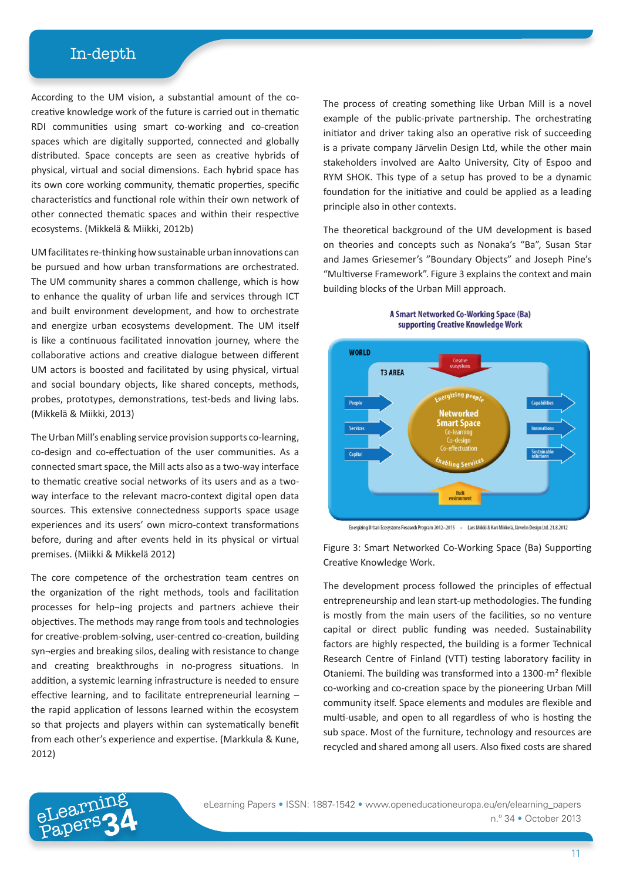According to the UM vision, a substantial amount of the cocreative knowledge work of the future is carried out in thematic RDI communities using smart co-working and co-creation spaces which are digitally supported, connected and globally distributed. Space concepts are seen as creative hybrids of physical, virtual and social dimensions. Each hybrid space has its own core working community, thematic properties, specific characteristics and functional role within their own network of other connected thematic spaces and within their respective ecosystems. (Mikkelä & Miikki, 2012b)

UM facilitates re-thinking how sustainable urban innovations can be pursued and how urban transformations are orchestrated. The UM community shares a common challenge, which is how to enhance the quality of urban life and services through ICT and built environment development, and how to orchestrate and energize urban ecosystems development. The UM itself is like a continuous facilitated innovation journey, where the collaborative actions and creative dialogue between different UM actors is boosted and facilitated by using physical, virtual and social boundary objects, like shared concepts, methods, probes, prototypes, demonstrations, test-beds and living labs. (Mikkelä & Miikki, 2013)

The Urban Mill's enabling service provision supports co-learning, co-design and co-effectuation of the user communities. As a connected smart space, the Mill acts also as a two-way interface to thematic creative social networks of its users and as a twoway interface to the relevant macro-context digital open data sources. This extensive connectedness supports space usage experiences and its users' own micro-context transformations before, during and after events held in its physical or virtual premises. (Miikki & Mikkelä 2012)

The core competence of the orchestration team centres on the organization of the right methods, tools and facilitation processes for help¬ing projects and partners achieve their objectives. The methods may range from tools and technologies for creative-problem-solving, user-centred co-creation, building syn¬ergies and breaking silos, dealing with resistance to change and creating breakthroughs in no-progress situations. In addition, a systemic learning infrastructure is needed to ensure effective learning, and to facilitate entrepreneurial learning – the rapid application of lessons learned within the ecosystem so that projects and players within can systematically benefit from each other's experience and expertise. (Markkula & Kune, 2012)

eLearnin<br>Papers

The process of creating something like Urban Mill is a novel example of the public-private partnership. The orchestrating initiator and driver taking also an operative risk of succeeding is a private company Järvelin Design Ltd, while the other main stakeholders involved are Aalto University, City of Espoo and RYM SHOK. This type of a setup has proved to be a dynamic foundation for the initiative and could be applied as a leading principle also in other contexts.

The theoretical background of the UM development is based on theories and concepts such as Nonaka's "Ba", Susan Star and James Griesemer's "Boundary Objects" and Joseph Pine's "Multiverse Framework". Figure 3 explains the context and main building blocks of the Urban Mill approach.





Energizing Urban Ecosystems Research Program 2012-2015 - Lars Miikki & Kari Mikkelä, Järvelin Design Ltd. 21.8.2012

Figure 3: Smart Networked Co-Working Space (Ba) Supporting Creative Knowledge Work.

The development process followed the principles of effectual entrepreneurship and lean start-up methodologies. The funding is mostly from the main users of the facilities, so no venture capital or direct public funding was needed. Sustainability factors are highly respected, the building is a former Technical Research Centre of Finland (VTT) testing laboratory facility in Otaniemi. The building was transformed into a 1300-m² flexible co-working and co-creation space by the pioneering Urban Mill community itself. Space elements and modules are flexible and multi-usable, and open to all regardless of who is hosting the sub space. Most of the furniture, technology and resources are recycled and shared among all users. Also fixed costs are shared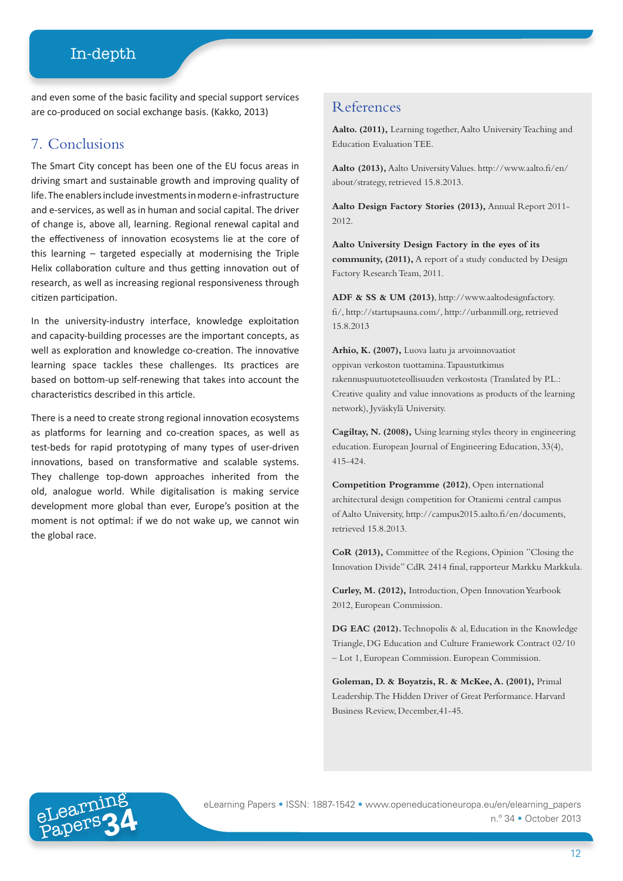and even some of the basic facility and special support services are co-produced on social exchange basis. (Kakko, 2013)

## 7. Conclusions

The Smart City concept has been one of the EU focus areas in driving smart and sustainable growth and improving quality of life. The enablers include investments in modern e-infrastructure and e-services, as well as in human and social capital. The driver of change is, above all, learning. Regional renewal capital and the effectiveness of innovation ecosystems lie at the core of this learning – targeted especially at modernising the Triple Helix collaboration culture and thus getting innovation out of research, as well as increasing regional responsiveness through citizen participation.

In the university-industry interface, knowledge exploitation and capacity-building processes are the important concepts, as well as exploration and knowledge co-creation. The innovative learning space tackles these challenges. Its practices are based on bottom-up self-renewing that takes into account the characteristics described in this article.

There is a need to create strong regional innovation ecosystems as platforms for learning and co-creation spaces, as well as test-beds for rapid prototyping of many types of user-driven innovations, based on transformative and scalable systems. They challenge top-down approaches inherited from the old, analogue world. While digitalisation is making service development more global than ever, Europe's position at the moment is not optimal: if we do not wake up, we cannot win the global race.

#### References

**Aalto. (2011),** Learning together, Aalto University Teaching and Education Evaluation TEE.

**Aalto (2013),** Aalto University Values. http://www.aalto.fi/en/ about/strategy, retrieved 15.8.2013.

**Aalto Design Factory Stories (2013),** Annual Report 2011- 2012.

**Aalto University Design Factory in the eyes of its community, (2011),** A report of a study conducted by Design Factory Research Team, 2011.

**ADF & SS & UM (2013)**, http://www.aaltodesignfactory. fi/, http://startupsauna.com/, http://urbanmill.org, retrieved 15.8.2013

**Arhio, K. (2007),** Luova laatu ja arvoinnovaatiot oppivan verkoston tuottamina. Tapaustutkimus rakennuspuutuoteteollisuuden verkostosta (Translated by P.L.: Creative quality and value innovations as products of the learning network), Jyväskylä University.

**Cagiltay, N. (2008),** Using learning styles theory in engineering education. European Journal of Engineering Education, 33(4), 415-424.

**Competition Programme (2012)**, Open international architectural design competition for Otaniemi central campus of Aalto University, http://campus2015.aalto.fi/en/documents, retrieved 15.8.2013.

**CoR (2013),** Committee of the Regions, Opinion "Closing the Innovation Divide" CdR 2414 final, rapporteur Markku Markkula.

**Curley, M. (2012),** Introduction, Open Innovation Yearbook 2012, European Commission.

**DG EAC (2012).** Technopolis & al, Education in the Knowledge Triangle, DG Education and Culture Framework Contract 02/10 – Lot 1, European Commission. European Commission.

**Goleman, D. & Boyatzis, R. & McKee, A. (2001),** Primal Leadership. The Hidden Driver of Great Performance. Harvard Business Review, December,41-45.



Papers**34** eLearning Papers • ISSN: 1887-1542 • www.openeducationeuropa.eu/en/elearning\_papers n.º 34 • October 2013